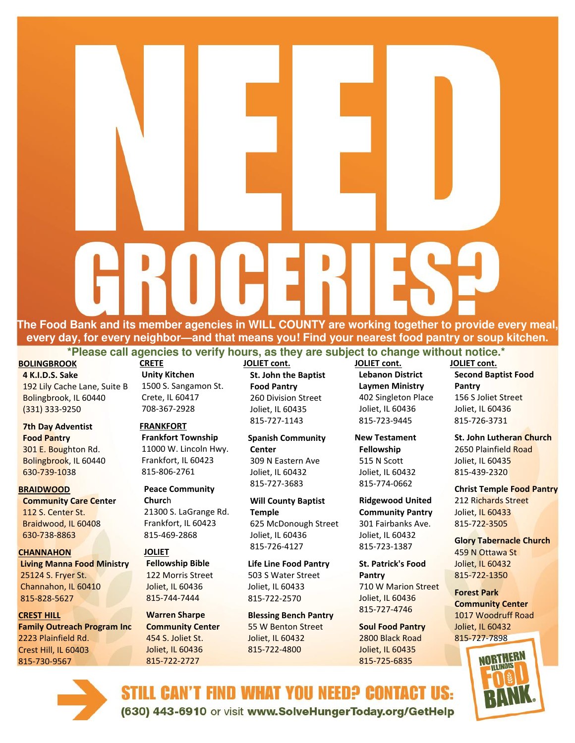**The Food Bank and its member agencies in WILL COUNTY are working together to provide every meal, every day, for every neighbor—and that means you! Find your nearest food pantry or soup kitchen.** 

**\*Please call agencies to verify hours, as they are subject to change without notice.\*** 

## **BOLINGBROOK**

**4 K.I.D.S. Sake**  192 Lily Cache Lane, Suite B Bolingbrook, IL 60440 (331) 333-9250

## **7th Day Adventist Food Pantry**

301 E. Boughton Rd. Bolingbrook, IL 60440 630-739-1038

#### **BRAIDWOOD**

**Community Care Center**  112 S. Center St. Braidwood, IL 60408 630-738-8863

#### **CHANNAHON**

815-730-9567

 **Living Manna Food Ministry**  25124 S. Fryer St. Channahon, IL 60410 815-828-5627

**CREST HILL Family Outreach Program Inc**  2223 Plainfield Rd. Crest Hill, IL 60403

**CRETE Unity Kitchen**  1500 S. Sangamon St. Crete, IL 60417 708-367-2928

# **FRANKFORT**

**Frankfort Township**  11000 W. Lincoln Hwy. Frankfort, IL 60423 815-806-2761

**Peace Community Churc**h 21300 S. LaGrange Rd. Frankfort, IL 60423 815-469-2868

## **JOLIET Fellowship Bible**

 122 Morris Street Joliet, IL 60436 815-744-7444

#### **Warren Sharpe Community Center**  454 S. Joliet St. Joliet, IL 60436 815-722-2727

**JOLIET cont. St. John the Baptist Food Pantry**  260 Division Street Joliet, IL 60435 815-727-1143

**Spanish Community Center** 309 N Eastern Ave Joliet, IL 60432 815-727-3683

**Will County Baptist Temple**  625 McDonough Street Joliet, IL 60436 815-726-4127

**Life Line Food Pantry**  503 S Water Street Joliet, IL 60433 815-722-2570

**Blessing Bench Pantry**  55 W Benton Street Joliet, IL 60432 815-722-4800

**JOLIET cont. Lebanon District Laymen Ministry**  402 Singleton Place Joliet, IL 60436 815-723-9445

**New Testament Fellowship**  515 N Scott Joliet, IL 60432 815-774-0662

**Ridgewood United Community Pantry**  301 Fairbanks Ave. Joliet, IL 60432 815-723-1387

**St. Patrick's Food Pantry**  710 W Marion Street Joliet, IL 60436 815-727-4746

**Soul Food Pantry**  2800 Black Road Joliet, IL 60435 815-725-6835

**JOLIET cont. Second Baptist Food Pantry**  156 S Joliet Street Joliet, IL 60436 815-726-3731

**St. John Lutheran Church**  2650 Plainfield Road Joliet, IL 60435 815-439-2320

**Christ Temple Food Pantry**  212 Richards Street Joliet, IL 60433 815-722-3505

**Glory Tabernacle Church**  459 N Ottawa St Joliet, IL 60432 815-722-1350

**Forest Park Community Center**  1017 Woodruff Road Joliet, IL 60432 815-727-7898





STILL CAN'T FIND WHAT YOU NEED? CONTACT US: (630) 443-6910 or visit www.SolveHungerToday.org/GetHelp